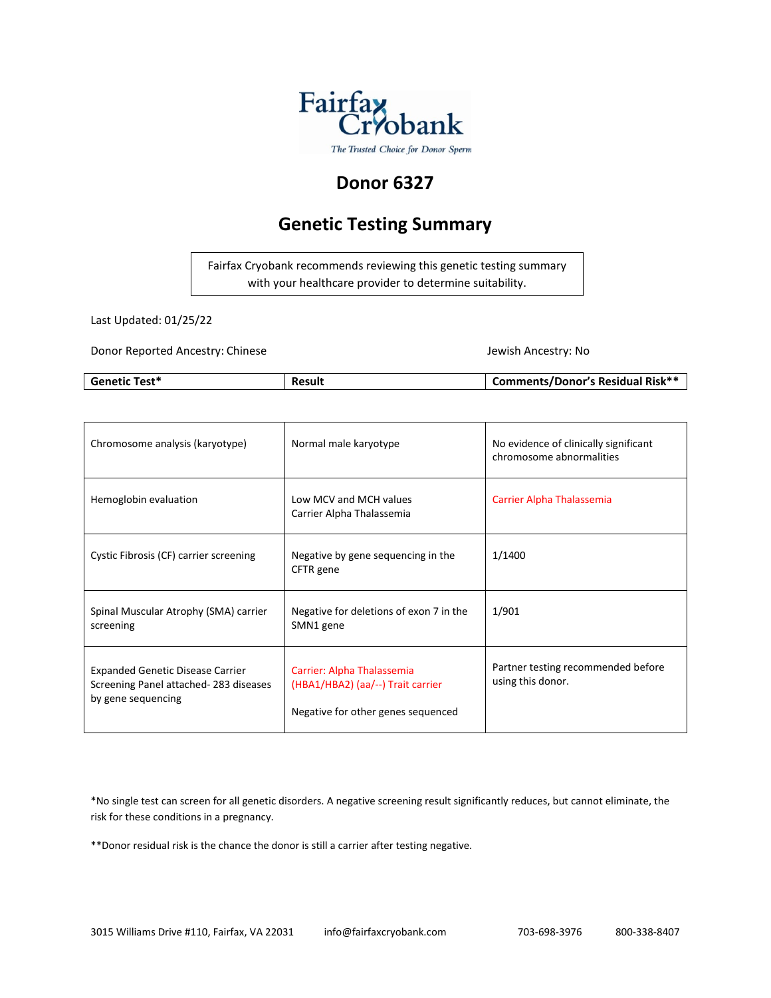

## **Donor 6327**

## **Genetic Testing Summary**

Fairfax Cryobank recommends reviewing this genetic testing summary with your healthcare provider to determine suitability.

Last Updated: 01/25/22

Donor Reported Ancestry: Chinese Jewish Ancestry: No

| <b>Genetic Test*</b> | Result | <b>Comments/Donor's Residual Risk**</b> |
|----------------------|--------|-----------------------------------------|

| Chromosome analysis (karyotype)                                                                        | Normal male karyotype                                                                                 | No evidence of clinically significant<br>chromosome abnormalities |
|--------------------------------------------------------------------------------------------------------|-------------------------------------------------------------------------------------------------------|-------------------------------------------------------------------|
| Hemoglobin evaluation                                                                                  | Low MCV and MCH values<br>Carrier Alpha Thalassemia                                                   | Carrier Alpha Thalassemia                                         |
| Cystic Fibrosis (CF) carrier screening                                                                 | Negative by gene sequencing in the<br>CFTR gene                                                       | 1/1400                                                            |
| Spinal Muscular Atrophy (SMA) carrier<br>screening                                                     | Negative for deletions of exon 7 in the<br>SMN1 gene                                                  | 1/901                                                             |
| <b>Expanded Genetic Disease Carrier</b><br>Screening Panel attached-283 diseases<br>by gene sequencing | Carrier: Alpha Thalassemia<br>(HBA1/HBA2) (aa/--) Trait carrier<br>Negative for other genes sequenced | Partner testing recommended before<br>using this donor.           |

\*No single test can screen for all genetic disorders. A negative screening result significantly reduces, but cannot eliminate, the risk for these conditions in a pregnancy.

\*\*Donor residual risk is the chance the donor is still a carrier after testing negative.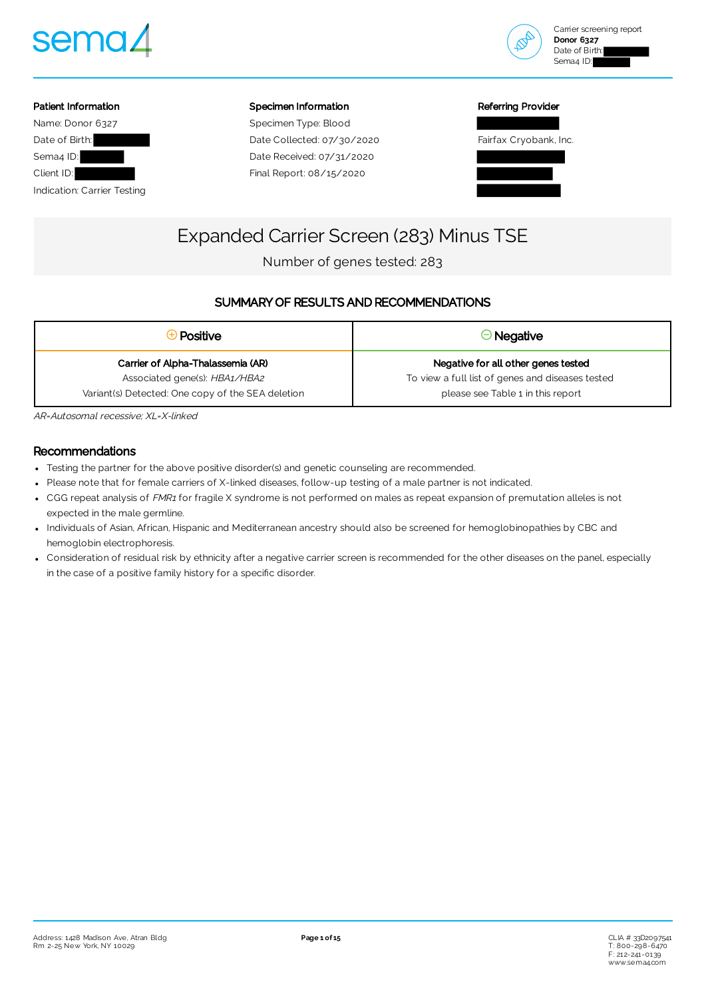



## Patient Information Name: Donor 6327 Date of Birth: Sema4 ID: Client ID:

Indication: Carrier Testing

#### Specimen Information

Specimen Type: Blood Date Collected: 07/30/2020 Date Received: 07/31/2020 Final Report: 08/15/2020

#### Referring Provider



# Expanded Carrier Screen (283) Minus TSE

Number of genes tested: 283

### SUMMARY OF RESULTS AND RECOMMENDATIONS

| <del>D</del> Positive                             | $\Theta$ Negative                                |
|---------------------------------------------------|--------------------------------------------------|
| Carrier of Alpha-Thalassemia (AR)                 | Negative for all other genes tested              |
| Associated gene(s): HBA1/HBA2                     | To view a full list of genes and diseases tested |
| Variant(s) Detected: One copy of the SEA deletion | please see Table 1 in this report                |

AR=Autosomal recessive; XL=X-linked

### Recommendations

- Testing the partner for the above positive disorder(s) and genetic counseling are recommended.
- Please note that for female carriers of X-linked diseases, follow-up testing of a male partner is not indicated.
- CGG repeat analysis of FMR1 for fragile X syndrome is not performed on males as repeat expansion of premutation alleles is not expected in the male germline.
- Individuals of Asian, African, Hispanic and Mediterranean ancestry should also be screened for hemoglobinopathies by CBC and hemoglobin electrophoresis.
- Consideration of residual risk by ethnicity after a negative carrier screen is recommended for the other diseases on the panel, especially in the case of a positive family history for a specific disorder.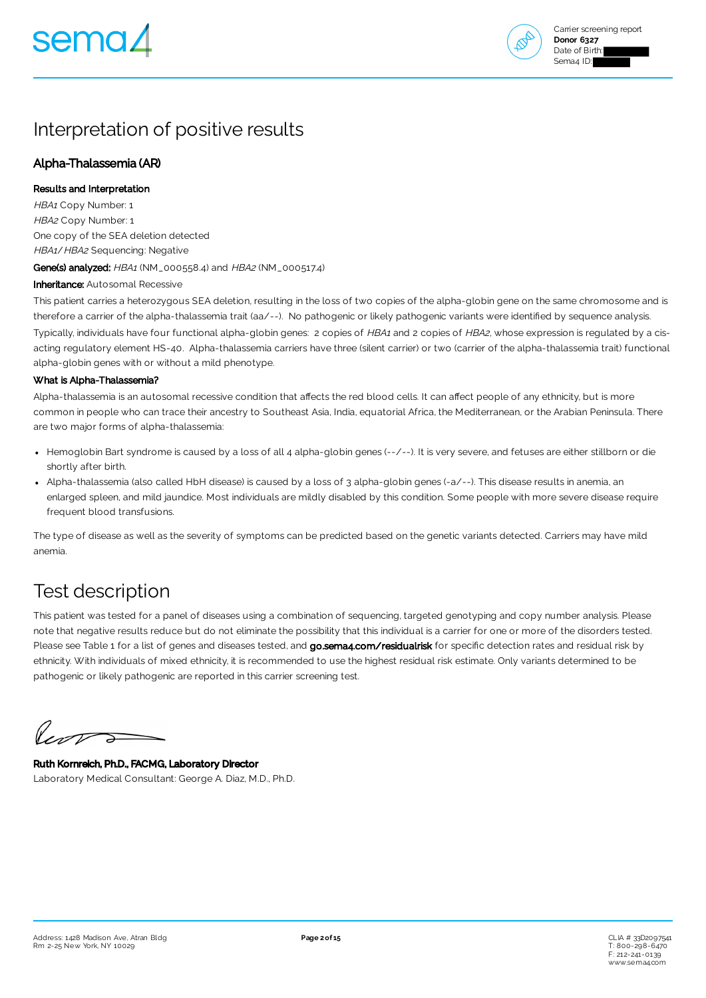

## Interpretation of positive results

### Alpha-Thalassemia (AR)

#### Results and Interpretation

HBA1 Copy Number: 1 HBA2 Copy Number: 1 One copy of the SEA deletion detected HBA1/HBA2 Sequencing: Negative Gene(s) analyzed: HBA1 (NM\_000558.4) and HBA2 (NM\_000517.4)

Inheritance: Autosomal Recessive

This patient carries a heterozygous SEA deletion, resulting in the loss of two copies of the alpha-globin gene on the same chromosome and is therefore a carrier of the alpha-thalassemia trait (aa/--). No pathogenic or likely pathogenic variants were identified by sequence analysis. Typically, individuals have four functional alpha-globin genes: 2 copies of HBA1 and 2 copies of HBA2, whose expression is regulated by a cisacting regulatory element HS-40. Alpha-thalassemia carriers have three (silent carrier) or two (carrier of the alpha-thalassemia trait) functional alpha-globin genes with or without a mild phenotype.

#### What is Alpha-Thalassemia?

Alpha-thalassemia is an autosomal recessive condition that affects the red blood cells. It can affect people of any ethnicity, but is more common in people who can trace their ancestry to Southeast Asia, India, equatorial Africa, the Mediterranean, or the Arabian Peninsula. There are two major forms of alpha-thalassemia:

- Hemoglobin Bart syndrome is caused by a loss of all 4 alpha-globin genes (--/--). It is very severe, and fetuses are either stillborn or die shortly after birth.
- Alpha-thalassemia (also called HbH disease) is caused by a loss of 3 alpha-globin genes (-a/--). This disease results in anemia, an enlarged spleen, and mild jaundice. Most individuals are mildly disabled by this condition. Some people with more severe disease require frequent blood transfusions.

The type of disease as well as the severity of symptoms can be predicted based on the genetic variants detected. Carriers may have mild anemia.

## Test description

This patient was tested for a panel of diseases using a combination of sequencing, targeted genotyping and copy number analysis. Please note that negative results reduce but do not eliminate the possibility that this individual is a carrier for one or more of the disorders tested. Please see Table 1 for a list of genes and diseases tested, and [go.sema4.com/residualrisk](https://go.sema4.com/residualrisk) for specific detection rates and residual risk by ethnicity. With individuals of mixed ethnicity, it is recommended to use the highest residual risk estimate. Only variants determined to be pathogenic or likely pathogenic are reported in this carrier screening test.

leve  $\Rightarrow$ 

Ruth Kornreich, Ph.D., FACMG, Laboratory Director Laboratory Medical Consultant: George A. Diaz, M.D., Ph.D.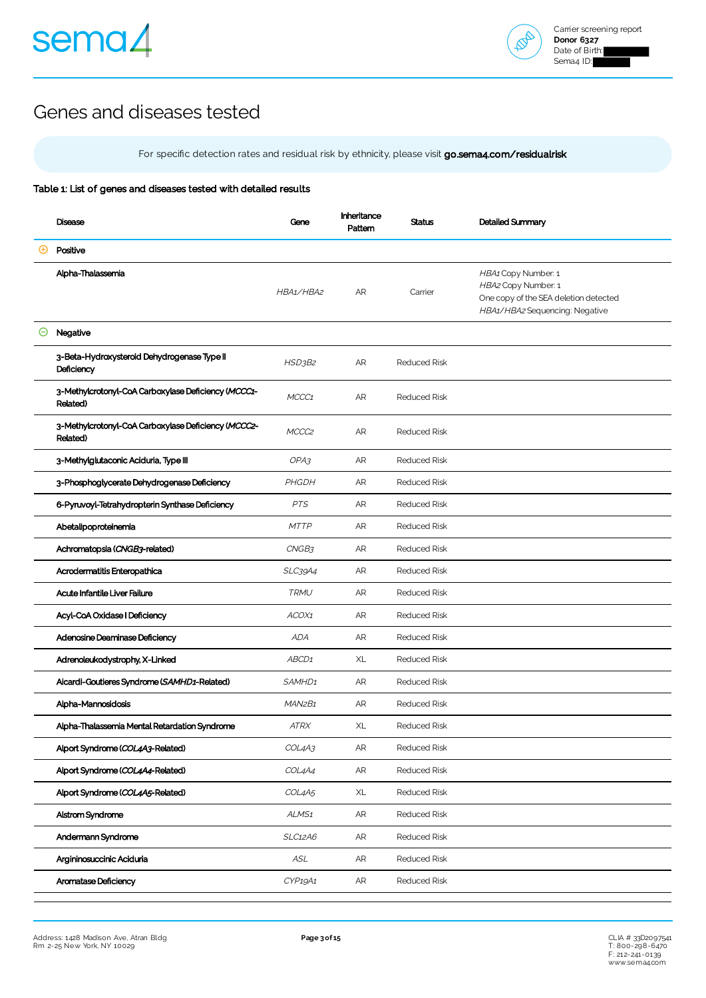



## Genes and diseases tested

For specific detection rates and residual risk by ethnicity, please visit [go.sema4.com/residualrisk](https://go.sema4.com/residualrisk)

#### Table 1: List of genes and diseases tested with detailed results

| <b>Disease</b>                                                  | Gene                            | Inheritance<br>Pattern | Status              | Detailed Summary                                                                                                      |
|-----------------------------------------------------------------|---------------------------------|------------------------|---------------------|-----------------------------------------------------------------------------------------------------------------------|
| Positive                                                        |                                 |                        |                     |                                                                                                                       |
| Alpha-Thalassemia                                               | HBA1/HBA2                       | AR                     | Carrier             | HBA1 Copy Number: 1<br>HBA2 Copy Number: 1<br>One copy of the SEA deletion detected<br>HBA1/HBA2 Sequencing: Negative |
| Negative                                                        |                                 |                        |                     |                                                                                                                       |
| 3-Beta-Hydroxysteroid Dehydrogenase Type II<br>Deficiency       | HSD3B2                          | AR                     | <b>Reduced Risk</b> |                                                                                                                       |
| 3-Methylcrotonyl-CoA Carboxylase Deficiency (MCCC1-<br>Related) | MCCC1                           | AR                     | <b>Reduced Risk</b> |                                                                                                                       |
| 3-Methylcrotonyl-CoA Carboxylase Deficiency (MCCC2-<br>Related) | MCCC <sub>2</sub>               | <b>AR</b>              | <b>Reduced Risk</b> |                                                                                                                       |
| 3-Methylglutaconic Aciduria, Type III                           | OPA3                            | AR                     | <b>Reduced Risk</b> |                                                                                                                       |
| 3-Phosphoglycerate Dehydrogenase Deficiency                     | PHGDH                           | <b>AR</b>              | <b>Reduced Risk</b> |                                                                                                                       |
| 6-Pyruvoyl-Tetrahydropterin Synthase Deficiency                 | <b>PTS</b>                      | AR                     | <b>Reduced Risk</b> |                                                                                                                       |
| Abetalipoproteinemia                                            | <b>MTTP</b>                     | <b>AR</b>              | <b>Reduced Risk</b> |                                                                                                                       |
| Achromatopsia (CNGB3-related)                                   | CNGB3                           | AR                     | <b>Reduced Risk</b> |                                                                                                                       |
| Acrodermatitis Enteropathica                                    | SLC39A4                         | <b>AR</b>              | <b>Reduced Risk</b> |                                                                                                                       |
| Acute Infantile Liver Failure                                   | <b>TRMU</b>                     | AR                     | <b>Reduced Risk</b> |                                                                                                                       |
| Acyl-CoA Oxidase   Deficiency                                   | ACOX1                           | <b>AR</b>              | <b>Reduced Risk</b> |                                                                                                                       |
| Adenosine Deaminase Deficiency                                  | <b>ADA</b>                      | AR                     | <b>Reduced Risk</b> |                                                                                                                       |
| Adrenoleukodystrophy, X-Linked                                  | ABCD1                           | XL                     | <b>Reduced Risk</b> |                                                                                                                       |
| Aicardi-Goutieres Syndrome (SAMHD1-Related)                     | SAMHD <sub>1</sub>              | <b>AR</b>              | <b>Reduced Risk</b> |                                                                                                                       |
| Alpha-Mannosidosis                                              | MAN <sub>2</sub> B <sub>1</sub> | AR                     | <b>Reduced Risk</b> |                                                                                                                       |
| Alpha-Thalassemia Mental Retardation Syndrome                   | <b>ATRX</b>                     | XL                     | <b>Reduced Risk</b> |                                                                                                                       |
| Alport Syndrome (COL4A3-Related)                                | COL4A3                          | ${\sf AR}$             | Reduced Risk        |                                                                                                                       |
| Alport Syndrome (COL4A4-Related)                                | COL4A4                          | AR                     | Reduced Risk        |                                                                                                                       |
| Alport Syndrome (COL4A5-Related)                                | COL4A5                          | $\mathsf{XL}$          | Reduced Risk        |                                                                                                                       |
| Alstrom Syndrome                                                | ALMS <sub>1</sub>               | AR                     | Reduced Risk        |                                                                                                                       |
| Andermann Syndrome                                              | <b>SLC12A6</b>                  | ${\sf AR}$             | <b>Reduced Risk</b> |                                                                                                                       |
| Argininosuccinic Aciduria                                       | $\mathit{ASL}$                  | AR                     | <b>Reduced Risk</b> |                                                                                                                       |
| Aromatase Deficiency                                            | CYP19A1                         | AR                     | Reduced Risk        |                                                                                                                       |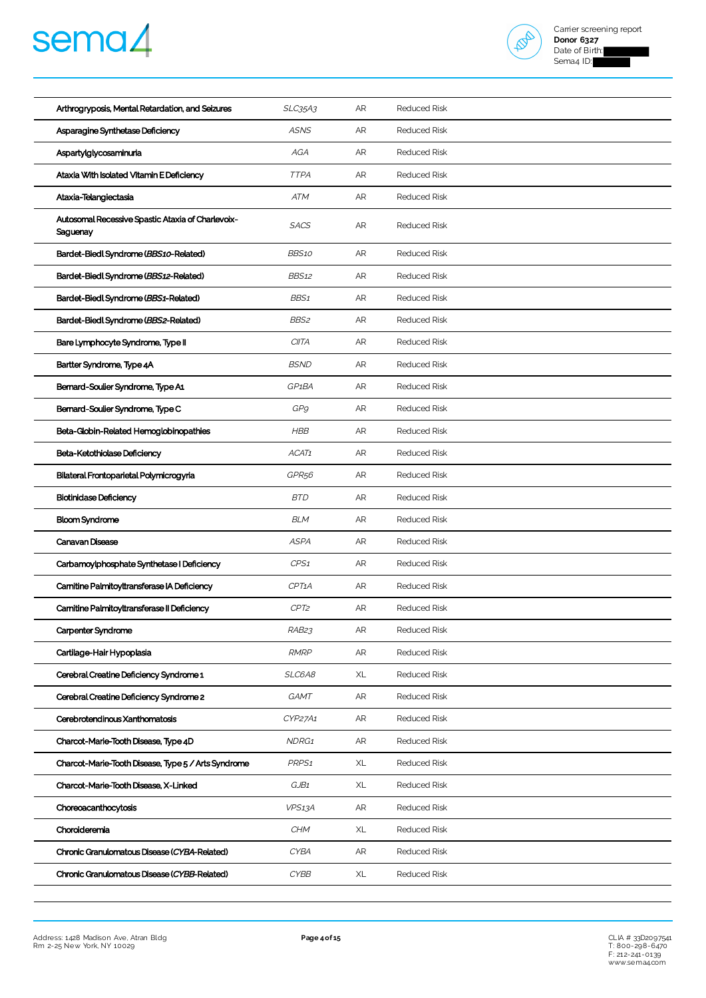



| Arthrogryposis, Mental Retardation, and Seizures              | <b>SLC35A3</b>     | AR        | <b>Reduced Risk</b> |
|---------------------------------------------------------------|--------------------|-----------|---------------------|
| Asparagine Synthetase Deficiency                              | <b>ASNS</b>        | AR        | <b>Reduced Risk</b> |
| Aspartylglycosaminuria                                        | AGA                | <b>AR</b> | <b>Reduced Risk</b> |
| Ataxia With Isolated Vitamin E Deficiency                     | <b>TTPA</b>        | AR        | <b>Reduced Risk</b> |
| Ataxia-Telangiectasia                                         | ATM                | <b>AR</b> | <b>Reduced Risk</b> |
| Autosomal Recessive Spastic Ataxia of Charlevoix-<br>Saguenay | <b>SACS</b>        | <b>AR</b> | <b>Reduced Risk</b> |
| Bardet-Biedl Syndrome (BBS10-Related)                         | BBS10              | <b>AR</b> | <b>Reduced Risk</b> |
| Bardet-Biedl Syndrome (BBS12-Related)                         | <b>BBS12</b>       | AR        | <b>Reduced Risk</b> |
| Bardet-Biedl Syndrome (BBS1-Related)                          | BBS1               | AR        | <b>Reduced Risk</b> |
| Bardet-Biedl Syndrome (BBS2-Related)                          | BBS2               | <b>AR</b> | <b>Reduced Risk</b> |
| Bare Lymphocyte Syndrome, Type II                             | <b>CIITA</b>       | AR        | <b>Reduced Risk</b> |
| Bartter Syndrome, Type 4A                                     | <b>BSND</b>        | AR        | <b>Reduced Risk</b> |
| Bernard-Soulier Syndrome, Type A1                             | GP <sub>1</sub> BA | AR        | <b>Reduced Risk</b> |
| Bernard-Soulier Syndrome, Type C                              | GP9                | AR        | <b>Reduced Risk</b> |
| Beta-Globin-Related Hemoglobinopathies                        | <b>HBB</b>         | AR        | <b>Reduced Risk</b> |
| Beta-Ketothiolase Deficiency                                  | ACAT1              | AR        | <b>Reduced Risk</b> |
| Bilateral Frontoparietal Polymicrogyria                       | GPR <sub>56</sub>  | AR        | <b>Reduced Risk</b> |
| <b>Biotinidase Deficiency</b>                                 | <b>BTD</b>         | <b>AR</b> | <b>Reduced Risk</b> |
| <b>Bloom Syndrome</b>                                         | <b>BLM</b>         | AR        | <b>Reduced Risk</b> |
| Canavan Disease                                               | <b>ASPA</b>        | <b>AR</b> | <b>Reduced Risk</b> |
| Carbamoylphosphate Synthetase I Deficiency                    | CPS1               | AR        | <b>Reduced Risk</b> |
| Carnitine Palmitoyltransferase IA Deficiency                  | CPT <sub>1</sub> A | AR        | <b>Reduced Risk</b> |
| Carnitine Palmitoyltransferase II Deficiency                  | CPT2               | <b>AR</b> | <b>Reduced Risk</b> |
| Carpenter Syndrome                                            | RAB23              | AR        | Reduced Risk        |
| Cartilage-Hair Hypoplasia                                     | <b>RMRP</b>        | AR        | <b>Reduced Risk</b> |
| Cerebral Creatine Deficiency Syndrome 1                       | SLC6A8             | XL        | <b>Reduced Risk</b> |
| Cerebral Creatine Deficiency Syndrome 2                       | GAMT               | AR        | <b>Reduced Risk</b> |
| Cerebrotendinous Xanthomatosis                                | CYP27A1            | AR        | Reduced Risk        |
| Charcot-Marie-Tooth Disease, Type 4D                          | NDRG1              | AR        | <b>Reduced Risk</b> |
| Charcot-Marie-Tooth Disease, Type 5 / Arts Syndrome           | PRPS <sub>1</sub>  | XL        | <b>Reduced Risk</b> |
| Charcot-Marie-Tooth Disease, X-Linked                         | GJB1               | XL        | <b>Reduced Risk</b> |
| Choreoacanthocytosis                                          | VPS13A             | AR        | <b>Reduced Risk</b> |
| Choroideremia                                                 | <b>CHM</b>         | XL        | <b>Reduced Risk</b> |
| Chronic Granulomatous Disease (CYBA-Related)                  | CYBA               | AR        | <b>Reduced Risk</b> |
| Chronic Granulomatous Disease (CYBB-Related)                  | <b>CYBB</b>        | XL        | <b>Reduced Risk</b> |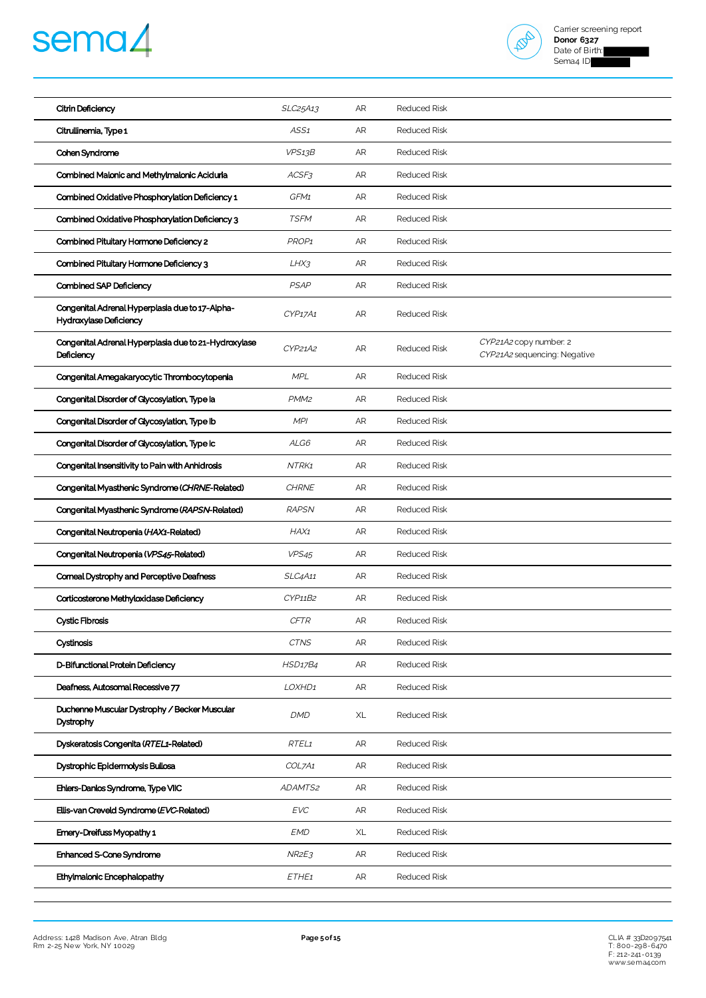# sema4



| Citrin Deficiency                                                         | SLC25A13          | AR        | <b>Reduced Risk</b> |                                                        |
|---------------------------------------------------------------------------|-------------------|-----------|---------------------|--------------------------------------------------------|
| Citrullinemia, Type 1                                                     | ASS1              | AR        | <b>Reduced Risk</b> |                                                        |
| Cohen Syndrome                                                            | VPS13B            | <b>AR</b> | <b>Reduced Risk</b> |                                                        |
| Combined Malonic and Methylmalonic Aciduria                               | ACSF3             | AR        | <b>Reduced Risk</b> |                                                        |
| Combined Oxidative Phosphorylation Deficiency 1                           | GFM1              | AR        | <b>Reduced Risk</b> |                                                        |
| Combined Oxidative Phosphorylation Deficiency 3                           | <b>TSFM</b>       | AR        | <b>Reduced Risk</b> |                                                        |
| Combined Pituitary Hormone Deficiency 2                                   | PROP <sub>1</sub> | AR        | <b>Reduced Risk</b> |                                                        |
| Combined Pituitary Hormone Deficiency 3                                   | LHX3              | AR        | <b>Reduced Risk</b> |                                                        |
| Combined SAP Deficiency                                                   | <b>PSAP</b>       | AR        | <b>Reduced Risk</b> |                                                        |
| Congenital Adrenal Hyperplasia due to 17-Alpha-<br>Hydroxylase Deficiency | CYP17A1           | AR        | <b>Reduced Risk</b> |                                                        |
| Congenital Adrenal Hyperplasia due to 21-Hydroxylase<br>Deficiency        | CYP21A2           | AR        | <b>Reduced Risk</b> | CYP21A2 copy number: 2<br>CYP21A2 sequencing: Negative |
| Congenital Amegakaryocytic Thrombocytopenia                               | <b>MPL</b>        | <b>AR</b> | <b>Reduced Risk</b> |                                                        |
| Congenital Disorder of Glycosylation, Type la                             | PMM <sub>2</sub>  | AR        | <b>Reduced Risk</b> |                                                        |
| Congenital Disorder of Glycosylation, Type Ib                             | MPI               | <b>AR</b> | <b>Reduced Risk</b> |                                                        |
| Congenital Disorder of Glycosylation, Type Ic                             | ALG6              | AR        | <b>Reduced Risk</b> |                                                        |
| Congenital Insensitivity to Pain with Anhidrosis                          | NTRK1             | <b>AR</b> | <b>Reduced Risk</b> |                                                        |
| Congenital Myasthenic Syndrome (CHRNE-Related)                            | <b>CHRNE</b>      | AR        | <b>Reduced Risk</b> |                                                        |
| Congenital Myasthenic Syndrome (RAPSN-Related)                            | <b>RAPSN</b>      | AR        | <b>Reduced Risk</b> |                                                        |
| Congenital Neutropenia (HAX1-Related)                                     | HAX1              | AR        | <b>Reduced Risk</b> |                                                        |
| Congenital Neutropenia (VPS45-Related)                                    | VPS <sub>45</sub> | AR        | <b>Reduced Risk</b> |                                                        |
| Corneal Dystrophy and Perceptive Deafness                                 | SLC4A11           | AR        | <b>Reduced Risk</b> |                                                        |
| Corticosterone Methyloxidase Deficiency                                   | CYP11B2           | AR        | <b>Reduced Risk</b> |                                                        |
| <b>Cystic Fibrosis</b>                                                    | <b>CFTR</b>       | <b>AR</b> | <b>Reduced Risk</b> |                                                        |
| Cystinosis                                                                | <b>CTNS</b>       | AR        | Reduced Risk        |                                                        |
| D-Bifunctional Protein Deficiency                                         | <b>HSD17B4</b>    | AR        | <b>Reduced Risk</b> |                                                        |
| Deafness, Autosomal Recessive 77                                          | LOXHD1            | AR        | Reduced Risk        |                                                        |
| Duchenne Muscular Dystrophy / Becker Muscular<br>Dystrophy                | <b>DMD</b>        | XL        | <b>Reduced Risk</b> |                                                        |
| Dyskeratosis Congenita (RTEL1-Related)                                    | RTEL1             | AR        | <b>Reduced Risk</b> |                                                        |
| Dystrophic Epidermolysis Bullosa                                          | COL7A1            | AR        | <b>Reduced Risk</b> |                                                        |
| Ehlers-Danlos Syndrome, Type VIIC                                         | ADAMTS2           | AR        | Reduced Risk        |                                                        |
| Ellis-van Creveld Syndrome (EVC-Related)                                  | <b>EVC</b>        | AR        | <b>Reduced Risk</b> |                                                        |
| Emery-Dreifuss Myopathy 1                                                 | <b>EMD</b>        | XL        | <b>Reduced Risk</b> |                                                        |
| <b>Enhanced S-Cone Syndrome</b>                                           | NR2E3             | AR        | <b>Reduced Risk</b> |                                                        |
| Ethylmalonic Encephalopathy                                               | ETHE1             | AR        | <b>Reduced Risk</b> |                                                        |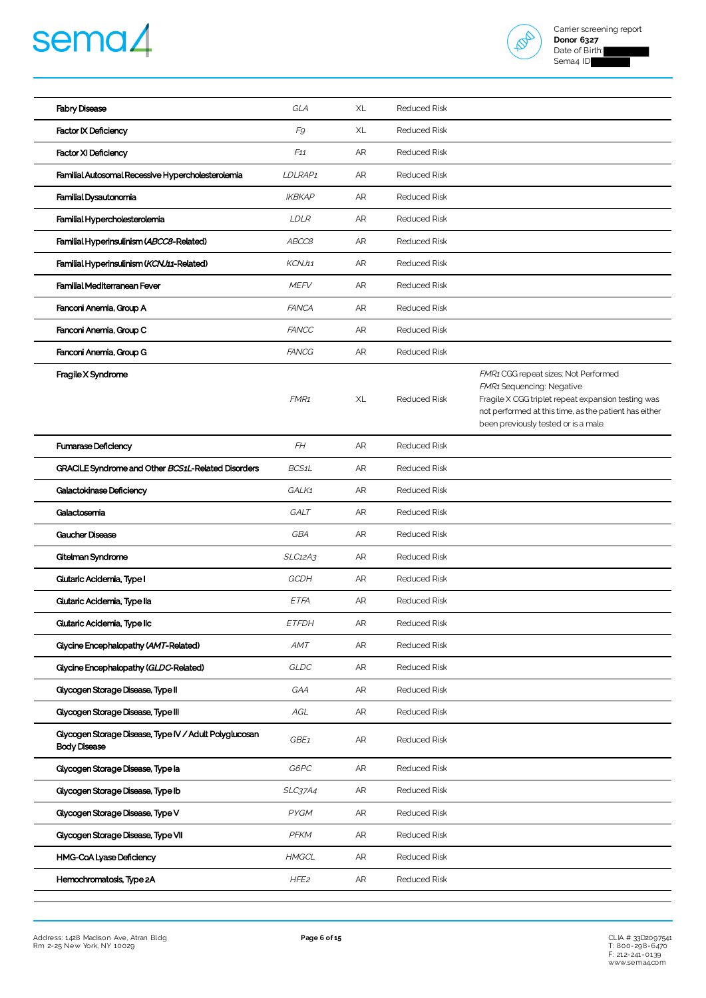# sema4



| <b>Fabry Disease</b>                                                          | GLA              | XL | <b>Reduced Risk</b> |                                                                                                                                                                                                                                 |
|-------------------------------------------------------------------------------|------------------|----|---------------------|---------------------------------------------------------------------------------------------------------------------------------------------------------------------------------------------------------------------------------|
| <b>Factor IX Deficiency</b>                                                   | F9               | XL | <b>Reduced Risk</b> |                                                                                                                                                                                                                                 |
| <b>Factor XI Deficiency</b>                                                   | F11              | AR | <b>Reduced Risk</b> |                                                                                                                                                                                                                                 |
| Familial Autosomal Recessive Hypercholesterolemia                             | LDLRAP1          | AR | <b>Reduced Risk</b> |                                                                                                                                                                                                                                 |
| Familial Dysautonomia                                                         | <b>IKBKAP</b>    | AR | <b>Reduced Risk</b> |                                                                                                                                                                                                                                 |
| Familial Hypercholesterolemia                                                 | <b>LDLR</b>      | AR | <b>Reduced Risk</b> |                                                                                                                                                                                                                                 |
| Familial Hyperinsulinism (ABCC8-Related)                                      | ABCC8            | AR | <b>Reduced Risk</b> |                                                                                                                                                                                                                                 |
| Familial Hyperinsulinism (KCNJ11-Related)                                     | KCNJ11           | AR | <b>Reduced Risk</b> |                                                                                                                                                                                                                                 |
| Familial Mediterranean Fever                                                  | <b>MEFV</b>      | AR | <b>Reduced Risk</b> |                                                                                                                                                                                                                                 |
| Fanconi Anemia, Group A                                                       | <b>FANCA</b>     | AR | <b>Reduced Risk</b> |                                                                                                                                                                                                                                 |
| Fanconi Anemia, Group C                                                       | <b>FANCC</b>     | AR | <b>Reduced Risk</b> |                                                                                                                                                                                                                                 |
| Fanconi Anemia, Group G                                                       | <b>FANCG</b>     | AR | <b>Reduced Risk</b> |                                                                                                                                                                                                                                 |
| Fragile X Syndrome                                                            | FMR <sub>1</sub> | XL | <b>Reduced Risk</b> | FMR1 CGG repeat sizes: Not Performed<br><b>FMR1</b> Sequencing: Negative<br>Fragile X CGG triplet repeat expansion testing was<br>not performed at this time, as the patient has either<br>been previously tested or is a male. |
| <b>Fumarase Deficiency</b>                                                    | FH               | AR | <b>Reduced Risk</b> |                                                                                                                                                                                                                                 |
| GRACILE Syndrome and Other BCS1L-Related Disorders                            | BCS1L            | AR | <b>Reduced Risk</b> |                                                                                                                                                                                                                                 |
| <b>Galactokinase Deficiency</b>                                               | GALK1            | AR | <b>Reduced Risk</b> |                                                                                                                                                                                                                                 |
| Galactosemia                                                                  | GALT             | AR | <b>Reduced Risk</b> |                                                                                                                                                                                                                                 |
| <b>Gaucher Disease</b>                                                        | GBA              | AR | <b>Reduced Risk</b> |                                                                                                                                                                                                                                 |
| Gitelman Syndrome                                                             | SLC12A3          | AR | <b>Reduced Risk</b> |                                                                                                                                                                                                                                 |
| Glutaric Acidemia, Type I                                                     | GCDH             | AR | <b>Reduced Risk</b> |                                                                                                                                                                                                                                 |
| Glutaric Acidemia, Type lla                                                   | ETFA             | AR | <b>Reduced Risk</b> |                                                                                                                                                                                                                                 |
| Glutaric Acidemia, Type IIc                                                   | <i>ETFDH</i>     | AR | <b>Reduced Risk</b> |                                                                                                                                                                                                                                 |
| Glycine Encephalopathy (AMT-Related)                                          | AMT              | AR | <b>Reduced Risk</b> |                                                                                                                                                                                                                                 |
| Glycine Encephalopathy (GLDC-Related)                                         | GLDC             | AR | <b>Reduced Risk</b> |                                                                                                                                                                                                                                 |
| Glycogen Storage Disease, Type II                                             | GAA              | AR | Reduced Risk        |                                                                                                                                                                                                                                 |
| Glycogen Storage Disease, Type III                                            | AGL              | AR | <b>Reduced Risk</b> |                                                                                                                                                                                                                                 |
| Glycogen Storage Disease, Type IV / Adult Polyglucosan<br><b>Body Disease</b> | GBE1             | AR | Reduced Risk        |                                                                                                                                                                                                                                 |
| Glycogen Storage Disease, Type la                                             | G6PC             | AR | Reduced Risk        |                                                                                                                                                                                                                                 |
| Glycogen Storage Disease, Type Ib                                             | <b>SLC37A4</b>   | AR | <b>Reduced Risk</b> |                                                                                                                                                                                                                                 |
| Glycogen Storage Disease, Type V                                              | PYGM             | AR | Reduced Risk        |                                                                                                                                                                                                                                 |
| Glycogen Storage Disease, Type VII                                            | PFKM             | AR | <b>Reduced Risk</b> |                                                                                                                                                                                                                                 |
| HMG-CoA Lyase Deficiency                                                      | <b>HMGCL</b>     | AR | Reduced Risk        |                                                                                                                                                                                                                                 |
| Hemochromatosis, Type 2A                                                      | HFE <sub>2</sub> | AR | <b>Reduced Risk</b> |                                                                                                                                                                                                                                 |

CLIA # 33D2097541<br>T: 800-298-6470<br>F: 212-244-0139<br>[www.sema4.com](https://www.sema4.com/)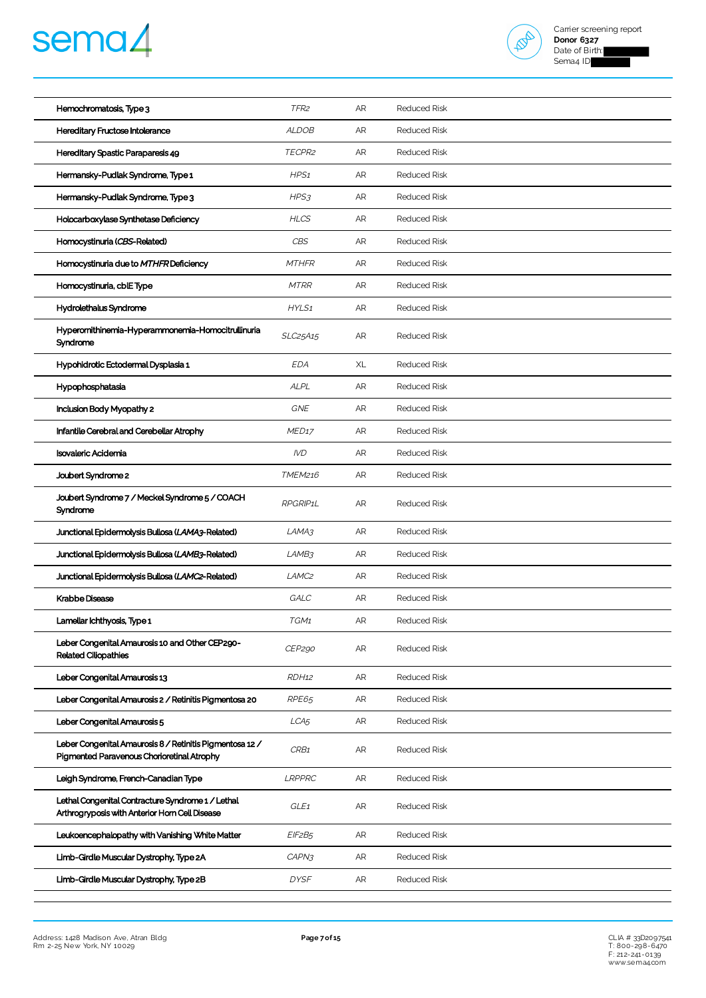



| Hemochromatosis, Type 3                                                                                | TFR <sub>2</sub>  | AR        | <b>Reduced Risk</b> |
|--------------------------------------------------------------------------------------------------------|-------------------|-----------|---------------------|
| Hereditary Fructose Intolerance                                                                        | <b>ALDOB</b>      | AR        | <b>Reduced Risk</b> |
| Hereditary Spastic Paraparesis 49                                                                      | TECPR2            | <b>AR</b> | <b>Reduced Risk</b> |
| Hermansky-Pudlak Syndrome, Type 1                                                                      | HPS <sub>1</sub>  | AR        | <b>Reduced Risk</b> |
| Hermansky-Pudlak Syndrome, Type 3                                                                      | HPS3              | AR        | <b>Reduced Risk</b> |
| Holocarboxylase Synthetase Deficiency                                                                  | <b>HLCS</b>       | AR        | <b>Reduced Risk</b> |
| Homocystinuria (CBS-Related)                                                                           | CBS               | AR        | <b>Reduced Risk</b> |
| Homocystinuria due to MTHFR Deficiency                                                                 | <b>MTHFR</b>      | <b>AR</b> | <b>Reduced Risk</b> |
| Homocystinuria, cblE Type                                                                              | <b>MTRR</b>       | AR        | <b>Reduced Risk</b> |
| Hydrolethalus Syndrome                                                                                 | HYLS1             | AR        | <b>Reduced Risk</b> |
| Hyperomithinemia-Hyperammonemia-Homocitrullinuria<br>Syndrome                                          | SLC25A15          | AR        | <b>Reduced Risk</b> |
| Hypohidrotic Ectodermal Dysplasia 1                                                                    | EDA               | XL        | <b>Reduced Risk</b> |
| Hypophosphatasia                                                                                       | ALPL              | AR        | <b>Reduced Risk</b> |
| Inclusion Body Myopathy 2                                                                              | <b>GNE</b>        | AR        | <b>Reduced Risk</b> |
| Infantile Cerebral and Cerebellar Atrophy                                                              | MED <sub>17</sub> | AR        | <b>Reduced Risk</b> |
| <b>Isovaleric Acidemia</b>                                                                             | <b>IVD</b>        | AR        | <b>Reduced Risk</b> |
| Joubert Syndrome 2                                                                                     | TMEM216           | AR        | <b>Reduced Risk</b> |
| Joubert Syndrome 7 / Meckel Syndrome 5 / COACH<br>Syndrome                                             | RPGRIP1L          | AR        | <b>Reduced Risk</b> |
| Junctional Epidermolysis Bullosa (LAMA3-Related)                                                       | LAMA3             | AR        | <b>Reduced Risk</b> |
| Junctional Epidermolysis Bullosa (LAMB3-Related)                                                       | LAMB3             | AR        | <b>Reduced Risk</b> |
| Junctional Epidermolysis Bullosa (LAMC2-Related)                                                       | LAMC <sub>2</sub> | AR        | <b>Reduced Risk</b> |
| <b>Krabbe Disease</b>                                                                                  | GALC              | AR        | <b>Reduced Risk</b> |
| Lamellar Ichthyosis, Type 1                                                                            | TGM1              | AR        | <b>Reduced Risk</b> |
| Leber Congenital Amaurosis 10 and Other CEP290-<br><b>Related Ciliopathies</b>                         | CEP290            | AR        | <b>Reduced Risk</b> |
| Leber Congenital Amaurosis 13                                                                          | RDH <sub>12</sub> | AR        | <b>Reduced Risk</b> |
| Leber Congenital Amaurosis 2 / Retinitis Pigmentosa 20                                                 | RPE65             | AR        | <b>Reduced Risk</b> |
| Leber Congenital Amaurosis 5                                                                           | LCA <sub>5</sub>  | AR        | <b>Reduced Risk</b> |
| Leber Congenital Amaurosis 8 / Retinitis Pigmentosa 12 /<br>Pigmented Paravenous Chorioretinal Atrophy | CRB1              | AR        | <b>Reduced Risk</b> |
| Leigh Syndrome, French-Canadian Type                                                                   | <b>LRPPRC</b>     | AR        | <b>Reduced Risk</b> |
| Lethal Congenital Contracture Syndrome 1 / Lethal<br>Arthrogryposis with Anterior Horn Cell Disease    | GLE <sub>1</sub>  | AR        | <b>Reduced Risk</b> |
| Leukoencephalopathy with Vanishing White Matter                                                        | EIF2B5            | AR        | <b>Reduced Risk</b> |
| Limb-Girdle Muscular Dystrophy, Type 2A                                                                | CAPN3             | AR        | <b>Reduced Risk</b> |
| Limb-Girdle Muscular Dystrophy, Type 2B                                                                | <b>DYSF</b>       | AR        | <b>Reduced Risk</b> |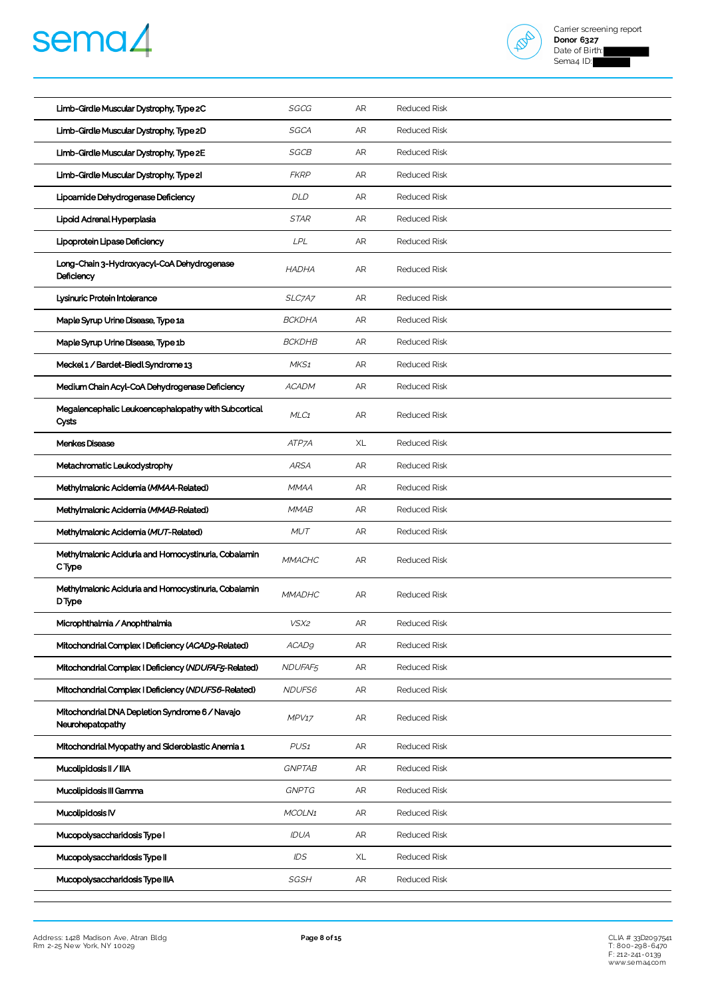



| Limb-Girdle Muscular Dystrophy, Type 2C                             | SGCG             | AR        | <b>Reduced Risk</b> |
|---------------------------------------------------------------------|------------------|-----------|---------------------|
| Limb-Girdle Muscular Dystrophy, Type 2D                             | SGCA             | <b>AR</b> | <b>Reduced Risk</b> |
| Limb-Girdle Muscular Dystrophy, Type 2E                             | SGCB             | AR        | <b>Reduced Risk</b> |
| Limb-Girdle Muscular Dystrophy, Type 21                             | <b>FKRP</b>      | AR        | <b>Reduced Risk</b> |
| Lipoamide Dehydrogenase Deficiency                                  | DLD              | AR        | <b>Reduced Risk</b> |
| Lipoid Adrenal Hyperplasia                                          | <b>STAR</b>      | AR        | <b>Reduced Risk</b> |
| Lipoprotein Lipase Deficiency                                       | LPL              | AR        | <b>Reduced Risk</b> |
| Long-Chain 3-Hydroxyacyl-CoA Dehydrogenase<br>Deficiency            | <b>HADHA</b>     | AR        | <b>Reduced Risk</b> |
| Lysinuric Protein Intolerance                                       | SLC7A7           | AR        | <b>Reduced Risk</b> |
| Maple Syrup Urine Disease, Type 1a                                  | <b>BCKDHA</b>    | AR        | <b>Reduced Risk</b> |
| Maple Syrup Urine Disease, Type 1b                                  | <b>BCKDHB</b>    | AR        | <b>Reduced Risk</b> |
| Meckel 1 / Bardet-Biedl Syndrome 13                                 | MKS <sub>1</sub> | AR        | <b>Reduced Risk</b> |
| Medium Chain Acyl-CoA Dehydrogenase Deficiency                      | <b>ACADM</b>     | AR        | Reduced Risk        |
| Megalencephalic Leukoencephalopathy with Subcortical<br>Cysts       | MLC1             | <b>AR</b> | <b>Reduced Risk</b> |
| Menkes Disease                                                      | ATP7A            | XL        | <b>Reduced Risk</b> |
| Metachromatic Leukodystrophy                                        | <b>ARSA</b>      | <b>AR</b> | <b>Reduced Risk</b> |
| Methylmalonic Acidemia (MMAA-Related)                               | <b>MMAA</b>      | AR        | <b>Reduced Risk</b> |
| Methylmalonic Acidemia (MMAB-Related)                               | <b>MMAB</b>      | AR        | <b>Reduced Risk</b> |
| Methylmalonic Acidemia (MUT-Related)                                | <b>MUT</b>       | AR        | <b>Reduced Risk</b> |
| Methylmalonic Aciduria and Homocystinuria, Cobalamin<br>C Type      | <b>MMACHC</b>    | AR        | <b>Reduced Risk</b> |
| Methylmalonic Aciduria and Homocystinuria, Cobalamin<br>DType       | <b>MMADHC</b>    | AR        | <b>Reduced Risk</b> |
| Microphthalmia / Anophthalmia                                       | VSX2             | AR        | <b>Reduced Risk</b> |
| Mitochondrial Complex   Deficiency (ACAD9-Related)                  | <b>ACAD9</b>     | AR        | <b>Reduced Risk</b> |
| Mitochondrial Complex   Deficiency (NDUFAF5-Related)                | NDUFAF5          | AR        | Reduced Risk        |
| Mitochondrial Complex   Deficiency (NDUFS6-Related)                 | NDUFS6           | AR        | Reduced Risk        |
| Mitochondrial DNA Depletion Syndrome 6 / Navajo<br>Neurohepatopathy | MPV17            | AR        | <b>Reduced Risk</b> |
| Mitochondrial Myopathy and Sideroblastic Anemia 1                   | PUS <sub>1</sub> | AR        | <b>Reduced Risk</b> |
| Mucolipidosis II / IIIA                                             | <b>GNPTAB</b>    | AR        | <b>Reduced Risk</b> |
| Mucolipidosis III Gamma                                             | <b>GNPTG</b>     | AR        | Reduced Risk        |
| Mucolipidosis IV                                                    | MCOLN1           | AR        | Reduced Risk        |
| Mucopolysaccharidosis Type I                                        | IDUA             | AR        | Reduced Risk        |
| Mucopolysaccharidosis Type II                                       | IDS              | XL        | Reduced Risk        |
| Mucopolysaccharidosis Type IIIA                                     | <b>SGSH</b>      | AR        | Reduced Risk        |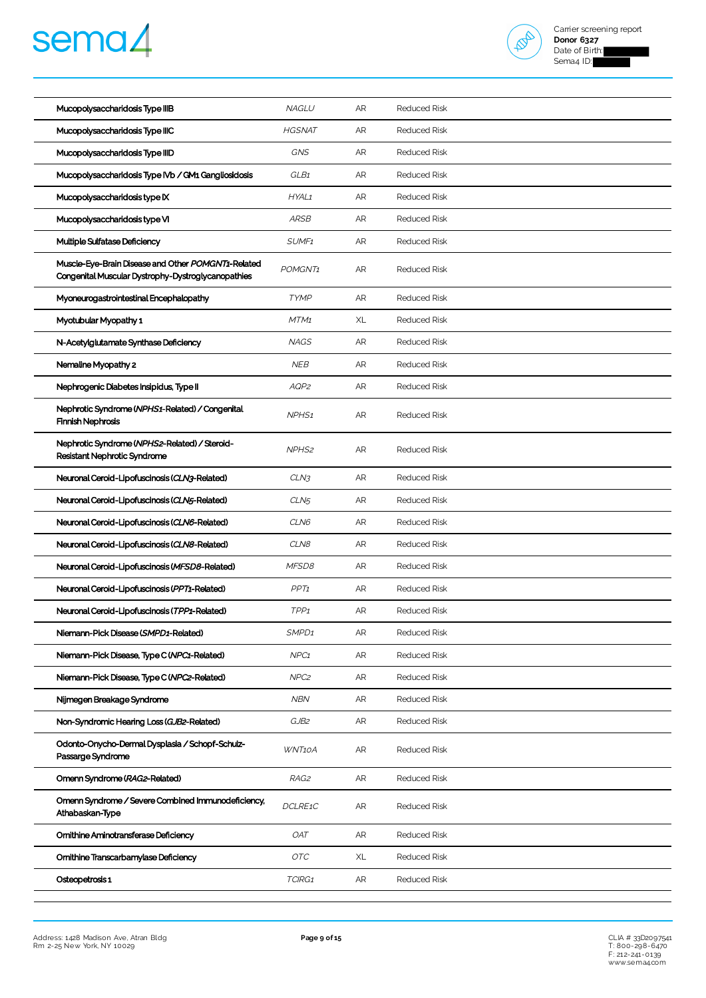



| Mucopolysaccharidosis Type IIIB                                                                          | <b>NAGLU</b>      | AR | <b>Reduced Risk</b> |
|----------------------------------------------------------------------------------------------------------|-------------------|----|---------------------|
| Mucopolysaccharidosis Type IIIC                                                                          | <b>HGSNAT</b>     | AR | <b>Reduced Risk</b> |
| Mucopolysaccharidosis Type IIID                                                                          | <b>GNS</b>        | AR | <b>Reduced Risk</b> |
| Mucopolysaccharidosis Type IVb / GM1 Gangliosidosis                                                      | GLB1              | AR | <b>Reduced Risk</b> |
| Mucopolysaccharidosis type IX                                                                            | HYAL1             | AR | <b>Reduced Risk</b> |
| Mucopolysaccharidosis type VI                                                                            | <b>ARSB</b>       | AR | <b>Reduced Risk</b> |
| Multiple Sulfatase Deficiency                                                                            | SUMF <sub>1</sub> | AR | <b>Reduced Risk</b> |
| Muscle-Eye-Brain Disease and Other POMGNT1-Related<br>Congenital Muscular Dystrophy-Dystroglycanopathies | POMGNT1           | AR | <b>Reduced Risk</b> |
| Myoneurogastrointestinal Encephalopathy                                                                  | <b>TYMP</b>       | AR | <b>Reduced Risk</b> |
| Myotubular Myopathy 1                                                                                    | MTM1              | XL | <b>Reduced Risk</b> |
| N-Acetylglutamate Synthase Deficiency                                                                    | <b>NAGS</b>       | AR | <b>Reduced Risk</b> |
| Nemaline Myopathy 2                                                                                      | <b>NEB</b>        | AR | <b>Reduced Risk</b> |
| Nephrogenic Diabetes Insipidus, Type II                                                                  | AQP2              | AR | <b>Reduced Risk</b> |
| Nephrotic Syndrome (NPHS1-Related) / Congenital<br><b>Finnish Nephrosis</b>                              | NPHS <sub>1</sub> | AR | <b>Reduced Risk</b> |
| Nephrotic Syndrome (NPHS2-Related) / Steroid-<br>Resistant Nephrotic Syndrome                            | NPHS <sub>2</sub> | AR | <b>Reduced Risk</b> |
| Neuronal Ceroid-Lipofuscinosis (CLN3-Related)                                                            | CLN3              | AR | <b>Reduced Risk</b> |
| Neuronal Ceroid-Lipofuscinosis (CLN5-Related)                                                            | CLN <sub>5</sub>  | AR | <b>Reduced Risk</b> |
| Neuronal Ceroid-Lipofuscinosis (CLN6-Related)                                                            | CLN6              | AR | <b>Reduced Risk</b> |
| Neuronal Ceroid-Lipofuscinosis (CLN8-Related)                                                            | CLN8              | AR | <b>Reduced Risk</b> |
| Neuronal Ceroid-Lipofuscinosis (MFSD8-Related)                                                           | MFSD8             | AR | <b>Reduced Risk</b> |
| Neuronal Ceroid-Lipofuscinosis (PPT1-Related)                                                            | PPT1              | AR | <b>Reduced Risk</b> |
| Neuronal Ceroid-Lipofuscinosis (TPP1-Related)                                                            | TPP <sub>1</sub>  | AR | <b>Reduced Risk</b> |
| Niemann-Pick Disease (SMPD1-Related)                                                                     | SMPD <sub>1</sub> | AR | <b>Reduced Risk</b> |
| Niemann-Pick Disease, Type C (NPC1-Related)                                                              | NPC <sub>1</sub>  | AR | <b>Reduced Risk</b> |
| Niemann-Pick Disease, Type C (NPC2-Related)                                                              | NPC <sub>2</sub>  | AR | Reduced Risk        |
| Nijmegen Breakage Syndrome                                                                               | <b>NBN</b>        | AR | <b>Reduced Risk</b> |
| Non-Syndromic Hearing Loss (GJB2-Related)                                                                | GJB2              | AR | <b>Reduced Risk</b> |
| Odonto-Onycho-Dermal Dysplasia / Schopf-Schulz-<br>Passarge Syndrome                                     | WNT10A            | AR | <b>Reduced Risk</b> |
| Omenn Syndrome (RAG2-Related)                                                                            | RAG2              | AR | <b>Reduced Risk</b> |
| Omenn Syndrome / Severe Combined Immunodeficiency,<br>Athabaskan-Type                                    | DCLRE1C           | AR | <b>Reduced Risk</b> |
| Ornithine Aminotransferase Deficiency                                                                    | <b>OAT</b>        | AR | <b>Reduced Risk</b> |
| Ornithine Transcarbamylase Deficiency                                                                    | OTC               | XL | <b>Reduced Risk</b> |
| Osteopetrosis 1                                                                                          | TCIRG1            | AR | <b>Reduced Risk</b> |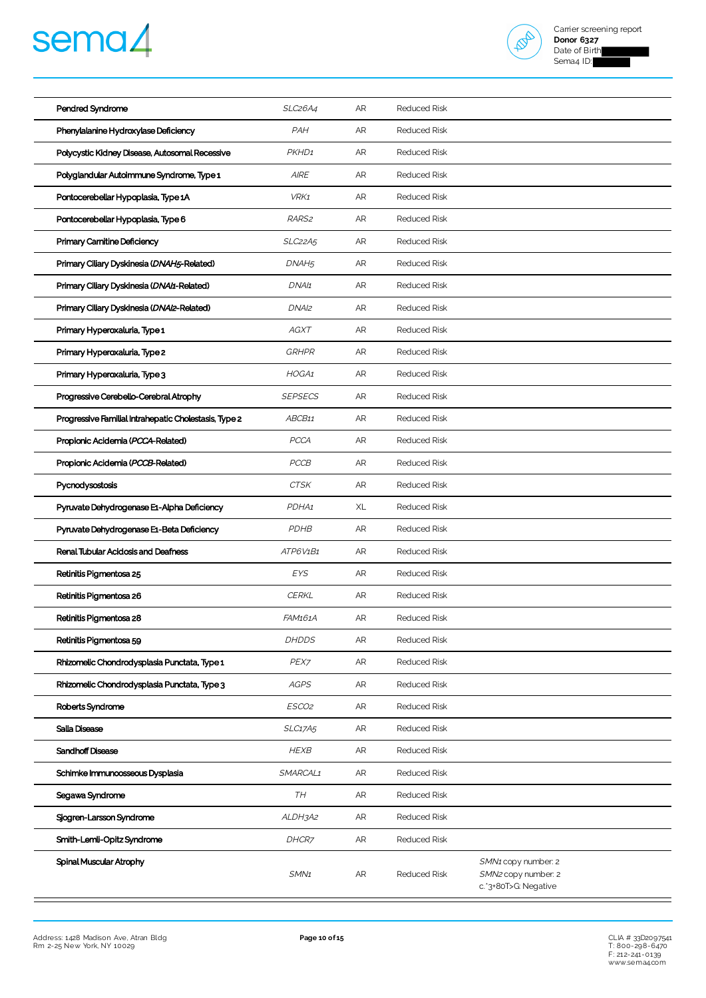# sema4



| Pendred Syndrome                                      | <b>SLC26A4</b>    | AR         | <b>Reduced Risk</b> |                                                                    |
|-------------------------------------------------------|-------------------|------------|---------------------|--------------------------------------------------------------------|
| Phenylalanine Hydroxylase Deficiency                  | PAH               | AR         | <b>Reduced Risk</b> |                                                                    |
| Polycystic Kidney Disease, Autosomal Recessive        | PKHD1             | AR         | <b>Reduced Risk</b> |                                                                    |
| Polyglandular Autoimmune Syndrome, Type 1             | <b>AIRE</b>       | AR         | <b>Reduced Risk</b> |                                                                    |
| Pontocerebellar Hypoplasia, Type 1A                   | VRK1              | AR         | <b>Reduced Risk</b> |                                                                    |
| Pontocerebellar Hypoplasia, Type 6                    | RARS <sub>2</sub> | AR         | <b>Reduced Risk</b> |                                                                    |
| Primary Carnitine Deficiency                          | SLC22A5           | AR         | <b>Reduced Risk</b> |                                                                    |
| Primary Ciliary Dyskinesia (DNAH5-Related)            | DNAH <sub>5</sub> | AR         | <b>Reduced Risk</b> |                                                                    |
| Primary Ciliary Dyskinesia (DNAI1-Related)            | DNA/1             | AR         | <b>Reduced Risk</b> |                                                                    |
| Primary Ciliary Dyskinesia (DNAI2-Related)            | DNAI <sub>2</sub> | AR         | <b>Reduced Risk</b> |                                                                    |
| Primary Hyperoxaluria, Type 1                         | AGXT              | AR         | <b>Reduced Risk</b> |                                                                    |
| Primary Hyperoxaluria, Type 2                         | <b>GRHPR</b>      | AR         | <b>Reduced Risk</b> |                                                                    |
| Primary Hyperoxaluria, Type 3                         | HOGA1             | AR         | <b>Reduced Risk</b> |                                                                    |
| Progressive Cerebello-Cerebral Atrophy                | <b>SEPSECS</b>    | AR         | <b>Reduced Risk</b> |                                                                    |
| Progressive Familial Intrahepatic Cholestasis, Type 2 | ABCB11            | AR         | <b>Reduced Risk</b> |                                                                    |
| Propionic Acidemia (PCCA-Related)                     | <b>PCCA</b>       | AR         | <b>Reduced Risk</b> |                                                                    |
| Propionic Acidemia (PCCB-Related)                     | PCCB              | AR         | <b>Reduced Risk</b> |                                                                    |
| Pycnodysostosis                                       | <b>CTSK</b>       | AR         | <b>Reduced Risk</b> |                                                                    |
| Pyruvate Dehydrogenase E1-Alpha Deficiency            | PDHA1             | XL         | <b>Reduced Risk</b> |                                                                    |
| Pyruvate Dehydrogenase E1-Beta Deficiency             | PDHB              | AR         | <b>Reduced Risk</b> |                                                                    |
| Renal Tubular Acidosis and Deafness                   | ATP6V1B1          | AR         | <b>Reduced Risk</b> |                                                                    |
| Retinitis Pigmentosa 25                               | <b>EYS</b>        | AR         | Reduced Risk        |                                                                    |
| Retinitis Pigmentosa 26                               | <b>CERKL</b>      | AR         | <b>Reduced Risk</b> |                                                                    |
| Retinitis Pigmentosa 28                               | FAM161A           | AR         | <b>Reduced Risk</b> |                                                                    |
| Retinitis Pigmentosa 59                               | <b>DHDDS</b>      | AR         | <b>Reduced Risk</b> |                                                                    |
| Rhizomelic Chondrodysplasia Punctata, Type 1          | PEX7              | AR         | <b>Reduced Risk</b> |                                                                    |
| Rhizomelic Chondrodysplasia Punctata, Type 3          | <b>AGPS</b>       | AR         | <b>Reduced Risk</b> |                                                                    |
| Roberts Syndrome                                      | ESCO2             | AR         | <b>Reduced Risk</b> |                                                                    |
| Salla Disease                                         | SLC17A5           | AR         | <b>Reduced Risk</b> |                                                                    |
| Sandhoff Disease                                      | <b>HEXB</b>       | AR         | <b>Reduced Risk</b> |                                                                    |
| Schimke Immunoosseous Dysplasia                       | SMARCAL1          | AR         | <b>Reduced Risk</b> |                                                                    |
| Segawa Syndrome                                       | TH                | AR         | <b>Reduced Risk</b> |                                                                    |
| Sjogren-Larsson Syndrome                              | ALDH3A2           | AR         | <b>Reduced Risk</b> |                                                                    |
| Smith-Lemli-Opitz Syndrome                            | DHCR7             | ${\sf AR}$ | <b>Reduced Risk</b> |                                                                    |
| Spinal Muscular Atrophy                               | SMN <sub>1</sub>  | AR         | <b>Reduced Risk</b> | SMN1 copy number: 2<br>SMN2 copy number: 2<br>c.'3+80T>G: Negative |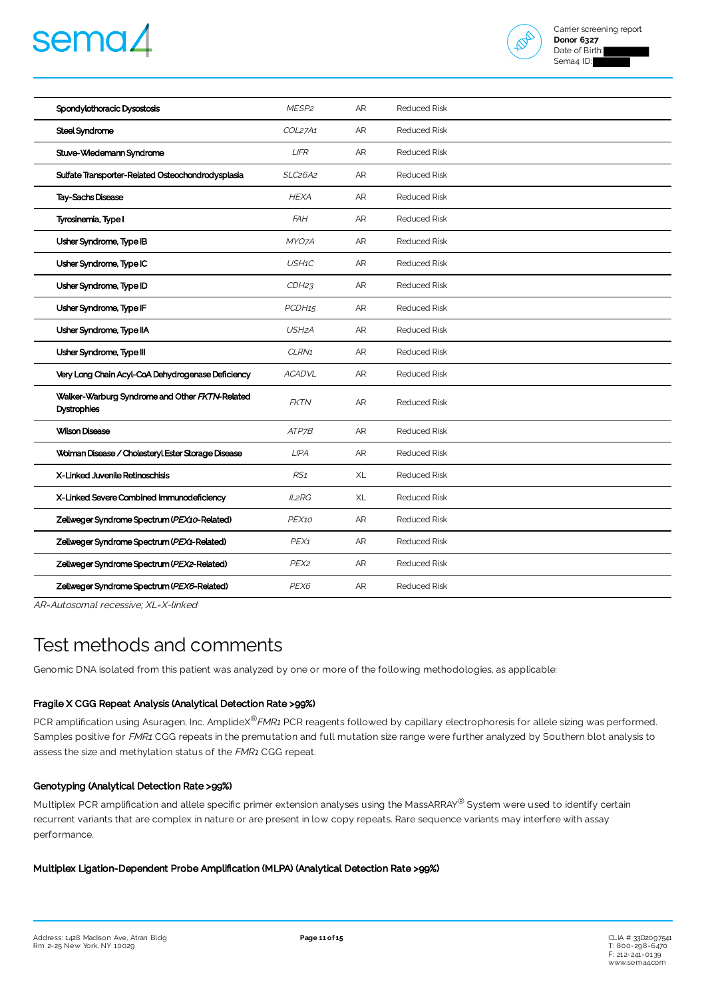



| Spondylothoracic Dysostosis                                          | MESP <sub>2</sub>                | <b>AR</b> | <b>Reduced Risk</b> |
|----------------------------------------------------------------------|----------------------------------|-----------|---------------------|
| Steel Syndrome                                                       | COL27A1                          | AR        | <b>Reduced Risk</b> |
| Stuve-Wiedemann Syndrome                                             | <b>LIFR</b>                      | AR        | <b>Reduced Risk</b> |
| Sulfate Transporter-Related Osteochondrodysplasia                    | SLC <sub>26</sub> A <sub>2</sub> | AR        | <b>Reduced Risk</b> |
| Tay-Sachs Disease                                                    | <b>HEXA</b>                      | AR        | <b>Reduced Risk</b> |
| Tyrosinemia, Type I                                                  | <b>FAH</b>                       | <b>AR</b> | <b>Reduced Risk</b> |
| Usher Syndrome, Type IB                                              | MYO7A                            | AR        | <b>Reduced Risk</b> |
| Usher Syndrome, Type IC                                              | USH1C                            | AR        | <b>Reduced Risk</b> |
| Usher Syndrome, Type ID                                              | CDH23                            | AR        | <b>Reduced Risk</b> |
| Usher Syndrome, Type IF                                              | PCDH15                           | AR        | <b>Reduced Risk</b> |
| Usher Syndrome, Type IIA                                             | USH <sub>2</sub> A               | AR        | <b>Reduced Risk</b> |
| Usher Syndrome, Type III                                             | CLRN1                            | AR        | <b>Reduced Risk</b> |
| Very Long Chain Acyl-CoA Dehydrogenase Deficiency                    | <b>ACADVL</b>                    | <b>AR</b> | <b>Reduced Risk</b> |
| Walker-Warburg Syndrome and Other FKTN-Related<br><b>Dystrophies</b> | <b>FKTN</b>                      | AR        | <b>Reduced Risk</b> |
| <b>Wilson Disease</b>                                                | ATP7B                            | AR        | <b>Reduced Risk</b> |
| Wolman Disease / Cholesteryl Ester Storage Disease                   | <b>LIPA</b>                      | AR        | <b>Reduced Risk</b> |
| X-Linked Juvenile Retinoschisis                                      | RS1                              | XL        | <b>Reduced Risk</b> |
| X-Linked Severe Combined Immunodeficiency                            | <b>IL2RG</b>                     | XL        | <b>Reduced Risk</b> |
| Zellweger Syndrome Spectrum (PEX10-Related)                          | PEX10                            | AR        | <b>Reduced Risk</b> |
| Zellweger Syndrome Spectrum (PEX1-Related)                           | PEX1                             | AR        | <b>Reduced Risk</b> |
| Zellweger Syndrome Spectrum (PEX2-Related)                           | PEX <sub>2</sub>                 | AR        | <b>Reduced Risk</b> |
| Zellweger Syndrome Spectrum (PEX6-Related)                           | PEX6                             | AR        | <b>Reduced Risk</b> |

AR=Autosomal recessive; XL=X-linked

## Test methods and comments

Genomic DNA isolated from this patient was analyzed by one or more of the following methodologies, as applicable:

#### Fragile X CGG Repeat Analysis (Analytical Detection Rate >99%)

PCR amplification using Asuragen, Inc. AmplideX<sup>®</sup>FMR1 PCR reagents followed by capillary electrophoresis for allele sizing was performed. Samples positive for FMR1 CGG repeats in the premutation and full mutation size range were further analyzed by Southern blot analysis to assess the size and methylation status of the FMR1 CGG repeat.

#### Genotyping (Analytical Detection Rate >99%)

Multiplex PCR amplification and allele specific primer extension analyses using the MassARRAY® System were used to identify certain recurrent variants that are complex in nature or are present in low copy repeats. Rare sequence variants may interfere with assay performance.

#### Multiplex Ligation-Dependent Probe Amplification (MLPA) (Analytical Detection Rate >99%)

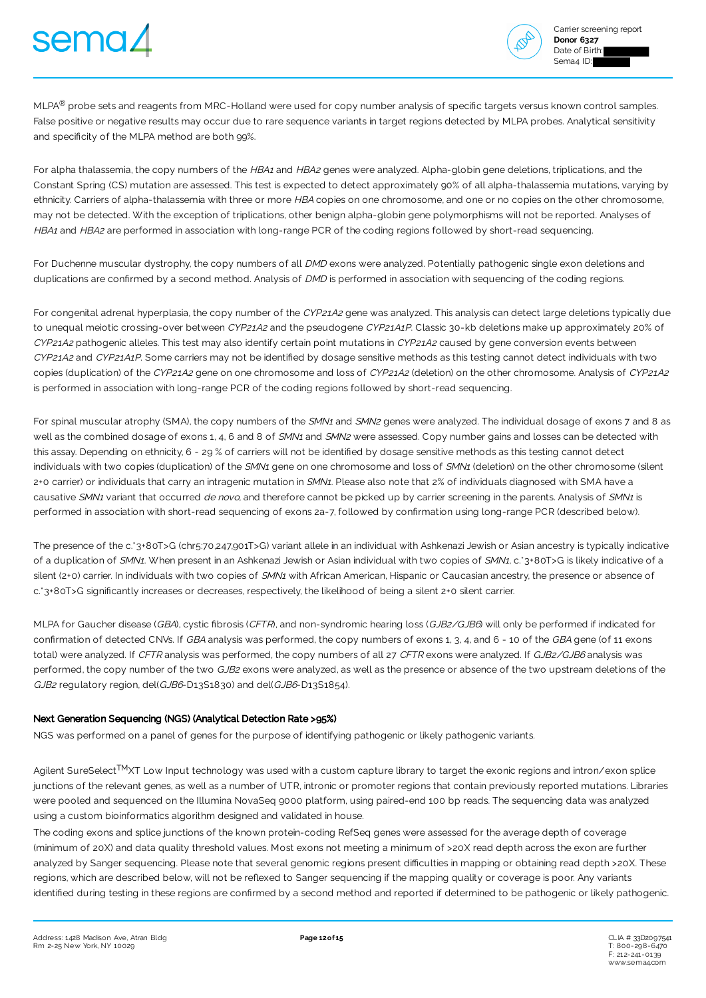



MLPA<sup>®</sup> probe sets and reagents from MRC-Holland were used for copy number analysis of specific targets versus known control samples. False positive or negative results may occur due to rare sequence variants in target regions detected by MLPA probes. Analytical sensitivity and specificity of the MLPA method are both 99%.

For alpha thalassemia, the copy numbers of the HBA1 and HBA2 genes were analyzed. Alpha-globin gene deletions, triplications, and the Constant Spring (CS) mutation are assessed. This test is expected to detect approximately 90% of all alpha-thalassemia mutations, varying by ethnicity. Carriers of alpha-thalassemia with three or more HBA copies on one chromosome, and one or no copies on the other chromosome, may not be detected. With the exception of triplications, other benign alpha-globin gene polymorphisms will not be reported. Analyses of HBA1 and HBA2 are performed in association with long-range PCR of the coding regions followed by short-read sequencing.

For Duchenne muscular dystrophy, the copy numbers of all DMD exons were analyzed. Potentially pathogenic single exon deletions and duplications are confirmed by a second method. Analysis of DMD is performed in association with sequencing of the coding regions.

For congenital adrenal hyperplasia, the copy number of the CYP21A2 gene was analyzed. This analysis can detect large deletions typically due to unequal meiotic crossing-over between CYP21A2 and the pseudogene CYP21A1P. Classic 30-kb deletions make up approximately 20% of CYP21A2 pathogenic alleles. This test may also identify certain point mutations in CYP21A2 caused by gene conversion events between CYP21A2 and CYP21A1P. Some carriers may not be identified by dosage sensitive methods as this testing cannot detect individuals with two copies (duplication) of the CYP21A2 gene on one chromosome and loss of CYP21A2 (deletion) on the other chromosome. Analysis of CYP21A2 is performed in association with long-range PCR of the coding regions followed by short-read sequencing.

For spinal muscular atrophy (SMA), the copy numbers of the SMN1 and SMN2 genes were analyzed. The individual dosage of exons 7 and 8 as well as the combined dosage of exons 1, 4, 6 and 8 of SMN1 and SMN2 were assessed. Copy number gains and losses can be detected with this assay. Depending on ethnicity, 6 - 29% of carriers will not be identified by dosage sensitive methods as this testing cannot detect individuals with two copies (duplication) of the SMN1 gene on one chromosome and loss of SMN1 (deletion) on the other chromosome (silent 2+0 carrier) or individuals that carry an intragenic mutation in SMN1. Please also note that 2% of individuals diagnosed with SMA have a causative SMN1 variant that occurred de novo, and therefore cannot be picked up by carrier screening in the parents. Analysis of SMN1 is performed in association with short-read sequencing of exons 2a-7, followed by confirmation using long-range PCR (described below).

The presence of the c.\*3+80T>G (chr5:70,247,901T>G) variant allele in an individual with Ashkenazi Jewish or Asian ancestry is typically indicative of a duplication of SMN1. When present in an Ashkenazi Jewish or Asian individual with two copies of SMN1, c.\*3+80T>G is likely indicative of a silent (2+0) carrier. In individuals with two copies of SMN1 with African American, Hispanic or Caucasian ancestry, the presence or absence of c.\*3+80T>G significantly increases or decreases, respectively, the likelihood of being a silent 2+0 silent carrier.

MLPA for Gaucher disease (GBA), cystic fibrosis (CFTR), and non-syndromic hearing loss (GJB2/GJB6) will only be performed if indicated for confirmation of detected CNVs. If GBA analysis was performed, the copy numbers of exons 1, 3, 4, and 6 - 10 of the GBA gene (of 11 exons total) were analyzed. If CFTR analysis was performed, the copy numbers of all 27 CFTR exons were analyzed. If GJB2/GJB6 analysis was performed, the copy number of the two GJB2 exons were analyzed, as well as the presence or absence of the two upstream deletions of the GJB2 regulatory region, del(GJB6-D13S1830) and del(GJB6-D13S1854).

#### Next Generation Sequencing (NGS) (Analytical Detection Rate >95%)

NGS was performed on a panel of genes for the purpose of identifying pathogenic or likely pathogenic variants.

Agilent SureSelect<sup>TM</sup>XT Low Input technology was used with a custom capture library to target the exonic regions and intron/exon splice junctions of the relevant genes, as well as a number of UTR, intronic or promoter regions that contain previously reported mutations. Libraries were pooled and sequenced on the Illumina NovaSeq 9000 platform, using paired-end 100 bp reads. The sequencing data was analyzed using a custom bioinformatics algorithm designed and validated in house.

The coding exons and splice junctions of the known protein-coding RefSeq genes were assessed for the average depth of coverage (minimum of 20X) and data quality threshold values. Most exons not meeting a minimum of >20X read depth across the exon are further analyzed by Sanger sequencing. Please note that several genomic regions present difficulties in mapping or obtaining read depth >20X. These regions, which are described below, will not be reflexed to Sanger sequencing if the mapping quality or coverage is poor. Any variants identified during testing in these regions are confirmed by a second method and reported if determined to be pathogenic or likely pathogenic.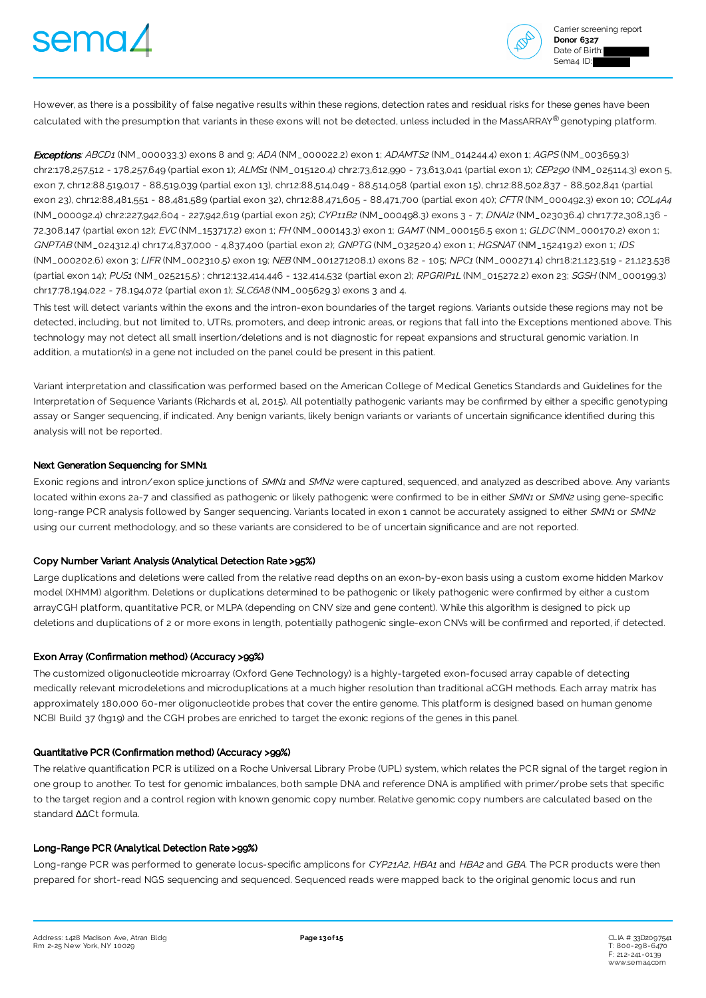



However, as there is a possibility of false negative results within these regions, detection rates and residual risks for these genes have been calculated with the presumption that variants in these exons will not be detected, unless included in the MassARRAY® genotyping platform.

**Exceptions**: ABCD1 (NM\_000033.3) exons 8 and 9; ADA (NM\_000022.2) exon 1; ADAMTS2 (NM\_014244.4) exon 1; AGPS (NM\_003659.3) chr2:178,257,512 - 178,257,649 (partial exon 1); ALMS1 (NM\_015120.4) chr2:73,612,990 - 73,613,041 (partial exon 1); CEP290 (NM\_025114.3) exon 5, exon 7, chr12:88,519,017 - 88,519,039 (partial exon 13), chr12:88,514,049 - 88,514,058 (partial exon 15), chr12:88,502,837 - 88,502,841 (partial exon 23), chr12:88,481,551 - 88,481,589 (partial exon 32), chr12:88,471,605 - 88,471,700 (partial exon 40); CFTR (NM\_000492.3) exon 10; COL4A4 (NM\_000092.4) chr2:227,942,604 - 227,942,619 (partial exon 25); CYP11B2 (NM\_000498.3) exons 3 - 7; DNAI2 (NM\_023036.4) chr17:72,308,136 - 72,308,147 (partial exon 12); EVC (NM\_153717.2) exon 1; FH (NM\_000143.3) exon 1; GAMT (NM\_000156.5 exon 1; GLDC (NM\_000170.2) exon 1; GNPTAB (NM\_024312.4) chr17:4,837,000 - 4,837,400 (partial exon 2); GNPTG (NM\_032520.4) exon 1; HGSNAT (NM\_152419.2) exon 1; IDS (NM\_000202.6) exon 3; LIFR (NM\_002310.5) exon 19; NEB (NM\_001271208.1) exons 82 - 105; NPC1 (NM\_000271.4) chr18:21,123,519 - 21,123,538 (partial exon 14); PUS1 (NM\_025215.5) ; chr12:132,414,446 - 132,414,532 (partial exon 2); RPGRIP1L (NM\_015272.2) exon 23; SGSH (NM\_000199.3) chr17:78,194,022 - 78,194,072 (partial exon 1); SLC6A8 (NM\_005629.3) exons 3 and 4.

This test will detect variants within the exons and the intron-exon boundaries of the target regions. Variants outside these regions may not be detected, including, but not limited to, UTRs, promoters, and deep intronic areas, or regions that fall into the Exceptions mentioned above. This technology may not detect all small insertion/deletions and is not diagnostic for repeat expansions and structural genomic variation. In addition, a mutation(s) in a gene not included on the panel could be present in this patient.

Variant interpretation and classification was performed based on the American College of Medical Genetics Standards and Guidelines for the Interpretation of Sequence Variants (Richards et al, 2015). All potentially pathogenic variants may be confirmed by either a specific genotyping assay or Sanger sequencing, if indicated. Any benign variants, likely benign variants or variants of uncertain significance identified during this analysis will not be reported.

#### Next Generation Sequencing for SMN1

Exonic regions and intron/exon splice junctions of SMN1 and SMN2 were captured, sequenced, and analyzed as described above. Any variants located within exons 2a-7 and classified as pathogenic or likely pathogenic were confirmed to be in either SMN1 or SMN2 using gene-specific long-range PCR analysis followed by Sanger sequencing. Variants located in exon 1 cannot be accurately assigned to either SMN1 or SMN2 using our current methodology, and so these variants are considered to be of uncertain significance and are not reported.

#### Copy Number Variant Analysis (Analytical Detection Rate >95%)

Large duplications and deletions were called from the relative read depths on an exon-by-exon basis using a custom exome hidden Markov model (XHMM) algorithm. Deletions or duplications determined to be pathogenic or likely pathogenic were confirmed by either a custom arrayCGH platform, quantitative PCR, or MLPA (depending on CNV size and gene content). While this algorithm is designed to pick up deletions and duplications of 2 or more exons in length, potentially pathogenic single-exon CNVs will be confirmed and reported, if detected.

#### Exon Array (Confirmation method) (Accuracy >99%)

The customized oligonucleotide microarray (Oxford Gene Technology) is a highly-targeted exon-focused array capable of detecting medically relevant microdeletions and microduplications at a much higher resolution than traditional aCGH methods. Each array matrix has approximately 180,000 60-mer oligonucleotide probes that cover the entire genome. This platform is designed based on human genome NCBI Build 37 (hg19) and the CGH probes are enriched to target the exonic regions of the genes in this panel.

#### Quantitative PCR (Confirmation method) (Accuracy >99%)

The relative quantification PCR is utilized on a Roche Universal Library Probe (UPL) system, which relates the PCR signal of the target region in one group to another. To test for genomic imbalances, both sample DNA and reference DNA is amplified with primer/probe sets that specific to the target region and a control region with known genomic copy number. Relative genomic copy numbers are calculated based on the standard ∆∆Ct formula.

#### Long-Range PCR (Analytical Detection Rate >99%)

Long-range PCR was performed to generate locus-specific amplicons for CYP21A2, HBA1 and HBA2 and GBA. The PCR products were then prepared for short-read NGS sequencing and sequenced. Sequenced reads were mapped back to the original genomic locus and run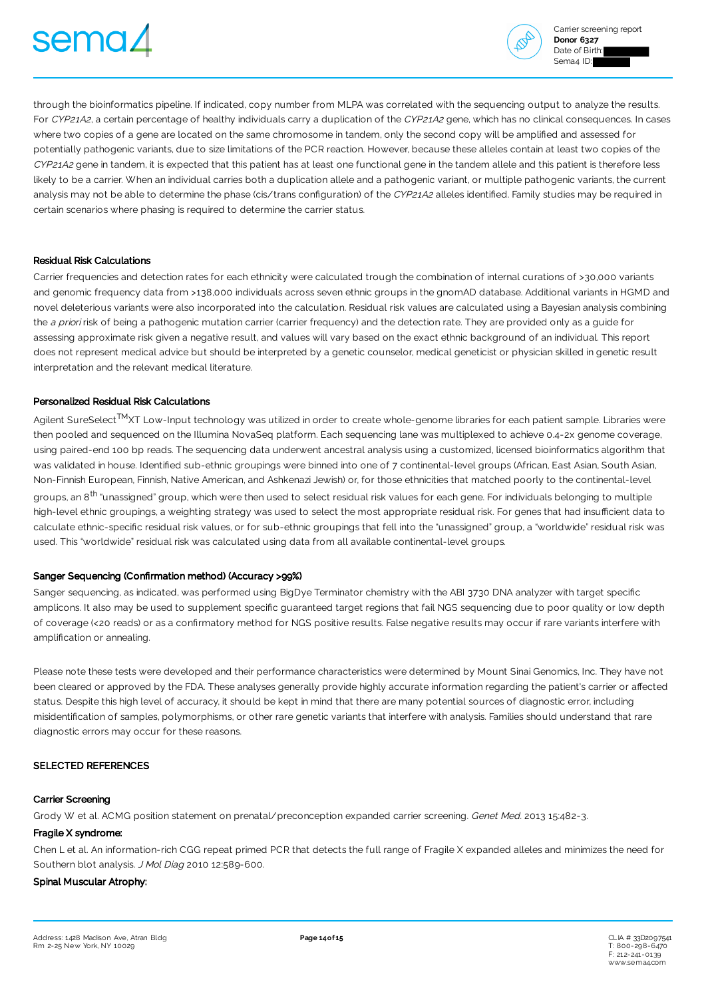



through the bioinformatics pipeline. If indicated, copy number from MLPA was correlated with the sequencing output to analyze the results. For CYP21A2, a certain percentage of healthy individuals carry a duplication of the CYP21A2 gene, which has no clinical consequences. In cases where two copies of a gene are located on the same chromosome in tandem, only the second copy will be amplified and assessed for potentially pathogenic variants, due to size limitations of the PCR reaction. However, because these alleles contain at least two copies of the CYP21A2 gene in tandem, it is expected that this patient has at least one functional gene in the tandem allele and this patient is therefore less likely to be a carrier. When an individual carries both a duplication allele and a pathogenic variant, or multiple pathogenic variants, the current analysis may not be able to determine the phase (cis/trans configuration) of the CYP21A2 alleles identified. Family studies may be required in certain scenarios where phasing is required to determine the carrier status.

#### Residual Risk Calculations

Carrier frequencies and detection rates for each ethnicity were calculated trough the combination of internal curations of >30,000 variants and genomic frequency data from >138,000 individuals across seven ethnic groups in the gnomAD database. Additional variants in HGMD and novel deleterious variants were also incorporated into the calculation. Residual risk values are calculated using a Bayesian analysis combining the a priori risk of being a pathogenic mutation carrier (carrier frequency) and the detection rate. They are provided only as a quide for assessing approximate risk given a negative result, and values will vary based on the exact ethnic background of an individual. This report does not represent medical advice but should be interpreted by a genetic counselor, medical geneticist or physician skilled in genetic result interpretation and the relevant medical literature.

#### Personalized Residual Risk Calculations

Agilent SureSelect™XT Low-Input technology was utilized in order to create whole-genome libraries for each patient sample. Libraries were then pooled and sequenced on the Illumina NovaSeq platform. Each sequencing lane was multiplexed to achieve 0.4-2x genome coverage, using paired-end 100 bp reads. The sequencing data underwent ancestral analysis using a customized, licensed bioinformatics algorithm that was validated in house. Identified sub-ethnic groupings were binned into one of 7 continental-level groups (African, East Asian, South Asian, Non-Finnish European, Finnish, Native American, and Ashkenazi Jewish) or, for those ethnicities that matched poorly to the continental-level groups, an 8<sup>th</sup> "unassigned" group, which were then used to select residual risk values for each gene. For individuals belonging to multiple high-level ethnic groupings, a weighting strategy was used to select the most appropriate residual risk. For genes that had insufficient data to calculate ethnic-specific residual risk values, or for sub-ethnic groupings that fell into the "unassigned" group, a "worldwide" residual risk was used. This "worldwide" residual risk was calculated using data from all available continental-level groups.

#### Sanger Sequencing (Confirmation method) (Accuracy >99%)

Sanger sequencing, as indicated, was performed using BigDye Terminator chemistry with the ABI 3730 DNA analyzer with target specific amplicons. It also may be used to supplement specific quaranteed target regions that fail NGS sequencing due to poor quality or low depth of coverage (<20 reads) or as a confirmatory method for NGS positive results. False negative results may occur if rare variants interfere with amplification or annealing.

Please note these tests were developed and their performance characteristics were determined by Mount Sinai Genomics, Inc. They have not been cleared or approved by the FDA. These analyses generally provide highly accurate information regarding the patient's carrier or affected status. Despite this high level of accuracy, it should be kept in mind that there are many potential sources of diagnostic error, including misidentification of samples, polymorphisms, or other rare genetic variants that interfere with analysis. Families should understand that rare diagnostic errors may occur for these reasons.

#### SELECTED REFERENCES

#### Carrier Screening

Grody W et al. ACMG position statement on prenatal/preconception expanded carrier screening. Genet Med. 2013 15:482-3.

#### Fragile X syndrome:

Chen L et al. An information-rich CGG repeat primed PCR that detects the full range of Fragile X expanded alleles and minimizes the need for Southern blot analysis. J Mol Diag 2010 12:589-600.

#### Spinal Muscular Atrophy: